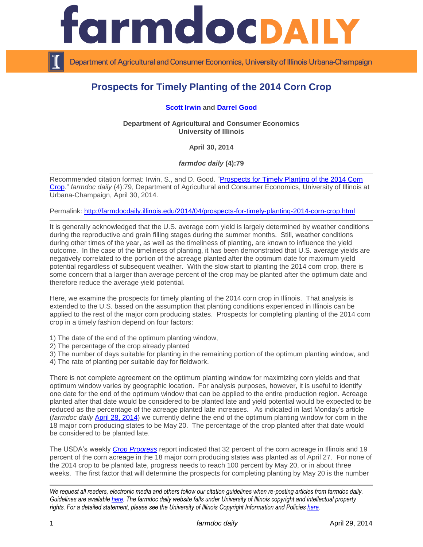

Department of Agricultural and Consumer Economics, University of Illinois Urbana-Champaign

# **Prospects for Timely Planting of the 2014 Corn Crop**

## **[Scott Irwin](http://farmdoc.illinois.edu/irwin/) and [Darrel Good](http://farmdoc.illinois.edu/good/)**

**Department of Agricultural and Consumer Economics University of Illinois**

**April 30, 2014**

*farmdoc daily* **(4):79**

Recommended citation format: Irwin, S., and D. Good. "Prospects for Timely Planting of the 2014 Corn [Crop.](http://farmdocdaily.illinois.edu/2014/04/prospects-for-timely-planting-2014-corn-crop.html)" *farmdoc daily* (4):79, Department of Agricultural and Consumer Economics, University of Illinois at Urbana-Champaign, April 30, 2014.

Permalink:<http://farmdocdaily.illinois.edu/2014/04/prospects-for-timely-planting-2014-corn-crop.html>

It is generally acknowledged that the U.S. average corn yield is largely determined by weather conditions during the reproductive and grain filling stages during the summer months. Still, weather conditions during other times of the year, as well as the timeliness of planting, are known to influence the yield outcome. In the case of the timeliness of planting, it has been demonstrated that U.S. average yields are negatively correlated to the portion of the acreage planted after the optimum date for maximum yield potential regardless of subsequent weather. With the slow start to planting the 2014 corn crop, there is some concern that a larger than average percent of the crop may be planted after the optimum date and therefore reduce the average yield potential.

Here, we examine the prospects for timely planting of the 2014 corn crop in Illinois. That analysis is extended to the U.S. based on the assumption that planting conditions experienced in Illinois can be applied to the rest of the major corn producing states. Prospects for completing planting of the 2014 corn crop in a timely fashion depend on four factors:

1) The date of the end of the optimum planting window,

2) The percentage of the crop already planted

3) The number of days suitable for planting in the remaining portion of the optimum planting window, and

4) The rate of planting per suitable day for fieldwork.

There is not complete agreement on the optimum planting window for maximizing corn yields and that optimum window varies by geographic location. For analysis purposes, however, it is useful to identify one date for the end of the optimum window that can be applied to the entire production region. Acreage planted after that date would be considered to be planted late and yield potential would be expected to be reduced as the percentage of the acreage planted late increases. As indicated in last Monday's article (*farmdoc daily* [April 28, 2014\)](http://farmdocdaily.illinois.edu/2014/04/concerns-about-corn-planting-progress.html) we currently define the end of the optimum planting window for corn in the 18 major corn producing states to be May 20. The percentage of the crop planted after that date would be considered to be planted late.

The USDA's weekly *[Crop Progress](http://usda.mannlib.cornell.edu/usda/nass/CropProg/2010s/2014/CropProg-04-28-2014.pdf)* report indicated that 32 percent of the corn acreage in Illinois and 19 percent of the corn acreage in the 18 major corn producing states was planted as of April 27. For none of the 2014 crop to be planted late, progress needs to reach 100 percent by May 20, or in about three weeks. The first factor that will determine the prospects for completing planting by May 20 is the number

*We request all readers, electronic media and others follow our citation guidelines when re-posting articles from farmdoc daily. Guidelines are available [here.](http://farmdocdaily.illinois.edu/citationguide.html) The farmdoc daily website falls under University of Illinois copyright and intellectual property rights. For a detailed statement, please see the University of Illinois Copyright Information and Policies [here.](http://www.cio.illinois.edu/policies/copyright/)*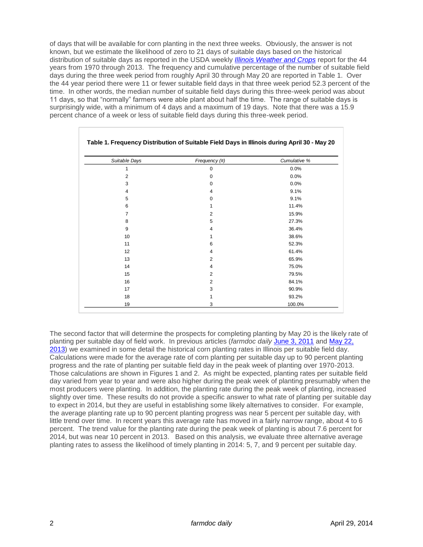of days that will be available for corn planting in the next three weeks. Obviously, the answer is not known, but we estimate the likelihood of zero to 21 days of suitable days based on the historical distribution of suitable days as reported in the USDA weekly *[Illinois Weather and Crops](http://www.nass.usda.gov/Statistics_by_State/Illinois/Publications/Crop_Progress_&_Condition/Historical_Reports/2014/wc-vol35-no08.pdf)* report for the 44 years from 1970 through 2013. The frequency and cumulative percentage of the number of suitable field days during the three week period from roughly April 30 through May 20 are reported in Table 1. Over the 44 year period there were 11 or fewer suitable field days in that three week period 52.3 percent of the time. In other words, the median number of suitable field days during this three-week period was about 11 days, so that "normally" farmers were able plant about half the time. The range of suitable days is surprisingly wide, with a minimum of 4 days and a maximum of 19 days. Note that there was a 15.9 percent chance of a week or less of suitable field days during this three-week period.

| Suitable Days  | Frequency (#) | Cumulative % |
|----------------|---------------|--------------|
| 1              | 0             | 0.0%         |
| 2              | 0             | 0.0%         |
| 3              | $\Omega$      | 0.0%         |
| 4              | 4             | 9.1%         |
| 5              | 0             | 9.1%         |
| 6              | 1             | 11.4%        |
| $\overline{7}$ | 2             | 15.9%        |
| 8              | 5             | 27.3%        |
| 9              | 4             | 36.4%        |
| 10             | 1             | 38.6%        |
| 11             | 6             | 52.3%        |
| 12             | 4             | 61.4%        |
| 13             | 2             | 65.9%        |
| 14             | 4             | 75.0%        |
| 15             | 2             | 79.5%        |
| 16             | 2             | 84.1%        |
| 17             | 3             | 90.9%        |
| 18             | 1             | 93.2%        |
| 19             | 3             | 100.0%       |

### **Table 1. Frequency Distribution of Suitable Field Days in Illinois during April 30 - May 20**

The second factor that will determine the prospects for completing planting by May 20 is the likely rate of planting per suitable day of field work. In previous articles (*farmdoc daily* [June 3, 2011](http://farmdocdaily.illinois.edu/2011/06/corn-planting-speed-revisited.html) and [May 22,](http://farmdocdaily.illinois.edu/2013/05/rapid-corn-planting-progress.html)  [2013\)](http://farmdocdaily.illinois.edu/2013/05/rapid-corn-planting-progress.html) we examined in some detail the historical corn planting rates in Illinois per suitable field day. Calculations were made for the average rate of corn planting per suitable day up to 90 percent planting progress and the rate of planting per suitable field day in the peak week of planting over 1970-2013. Those calculations are shown in Figures 1 and 2. As might be expected, planting rates per suitable field day varied from year to year and were also higher during the peak week of planting presumably when the most producers were planting. In addition, the planting rate during the peak week of planting, increased slightly over time. These results do not provide a specific answer to what rate of planting per suitable day to expect in 2014, but they are useful in establishing some likely alternatives to consider. For example, the average planting rate up to 90 percent planting progress was near 5 percent per suitable day, with little trend over time. In recent years this average rate has moved in a fairly narrow range, about 4 to 6 percent. The trend value for the planting rate during the peak week of planting is about 7.6 percent for 2014, but was near 10 percent in 2013. Based on this analysis, we evaluate three alternative average planting rates to assess the likelihood of timely planting in 2014: 5, 7, and 9 percent per suitable day.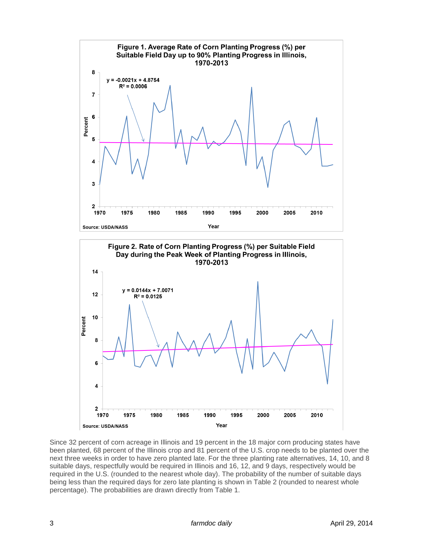

Since 32 percent of corn acreage in Illinois and 19 percent in the 18 major corn producing states have been planted, 68 percent of the Illinois crop and 81 percent of the U.S. crop needs to be planted over the next three weeks in order to have zero planted late. For the three planting rate alternatives, 14, 10, and 8 suitable days, respectfully would be required in Illinois and 16, 12, and 9 days, respectively would be required in the U.S. (rounded to the nearest whole day). The probability of the number of suitable days being less than the required days for zero late planting is shown in Table 2 (rounded to nearest whole percentage). The probabilities are drawn directly from Table 1.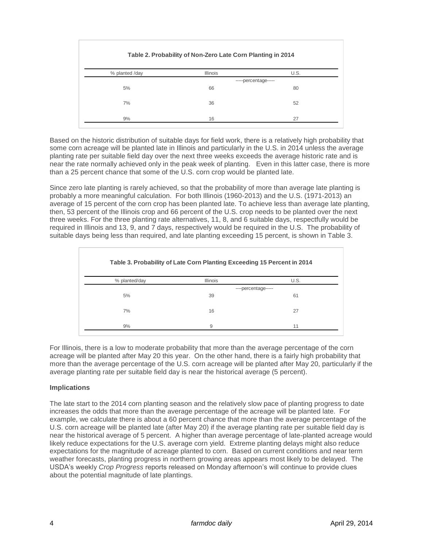| Table 2. Probability of Non-Zero Late Corn Planting in 2014 |                      |      |  |  |
|-------------------------------------------------------------|----------------------|------|--|--|
| % planted /day                                              | <b>Illinois</b>      | U.S. |  |  |
|                                                             | -----percentage----- |      |  |  |
| 5%                                                          | 66                   | 80   |  |  |
| 7%                                                          | 36                   | 52   |  |  |
| 9%                                                          | 16                   | 27   |  |  |

Based on the historic distribution of suitable days for field work, there is a relatively high probability that some corn acreage will be planted late in Illinois and particularly in the U.S. in 2014 unless the average planting rate per suitable field day over the next three weeks exceeds the average historic rate and is near the rate normally achieved only in the peak week of planting. Even in this latter case, there is more than a 25 percent chance that some of the U.S. corn crop would be planted late.

Since zero late planting is rarely achieved, so that the probability of more than average late planting is probably a more meaningful calculation. For both Illinois (1960-2013) and the U.S. (1971-2013) an average of 15 percent of the corn crop has been planted late. To achieve less than average late planting, then, 53 percent of the Illinois crop and 66 percent of the U.S. crop needs to be planted over the next three weeks. For the three planting rate alternatives, 11, 8, and 6 suitable days, respectfully would be required in Illinois and 13, 9, and 7 days, respectively would be required in the U.S. The probability of suitable days being less than required, and late planting exceeding 15 percent, is shown in Table 3.

| Table 3. Probability of Late Corn Planting Exceeding 15 Percent in 2014 |                     |      |  |
|-------------------------------------------------------------------------|---------------------|------|--|
| % planted/day                                                           | <b>Illinois</b>     | U.S. |  |
|                                                                         | ----percentage----- |      |  |
| 5%                                                                      | 39                  | 61   |  |
| 7%                                                                      | 16                  | 27   |  |
| 9%                                                                      | 9                   | 11   |  |

For Illinois, there is a low to moderate probability that more than the average percentage of the corn acreage will be planted after May 20 this year. On the other hand, there is a fairly high probability that more than the average percentage of the U.S. corn acreage will be planted after May 20, particularly if the average planting rate per suitable field day is near the historical average (5 percent).

## **Implications**

The late start to the 2014 corn planting season and the relatively slow pace of planting progress to date increases the odds that more than the average percentage of the acreage will be planted late. For example, we calculate there is about a 60 percent chance that more than the average percentage of the U.S. corn acreage will be planted late (after May 20) if the average planting rate per suitable field day is near the historical average of 5 percent. A higher than average percentage of late-planted acreage would likely reduce expectations for the U.S. average corn yield. Extreme planting delays might also reduce expectations for the magnitude of acreage planted to corn. Based on current conditions and near term weather forecasts, planting progress in northern growing areas appears most likely to be delayed. The USDA's weekly *Crop Progress* reports released on Monday afternoon's will continue to provide clues about the potential magnitude of late plantings.